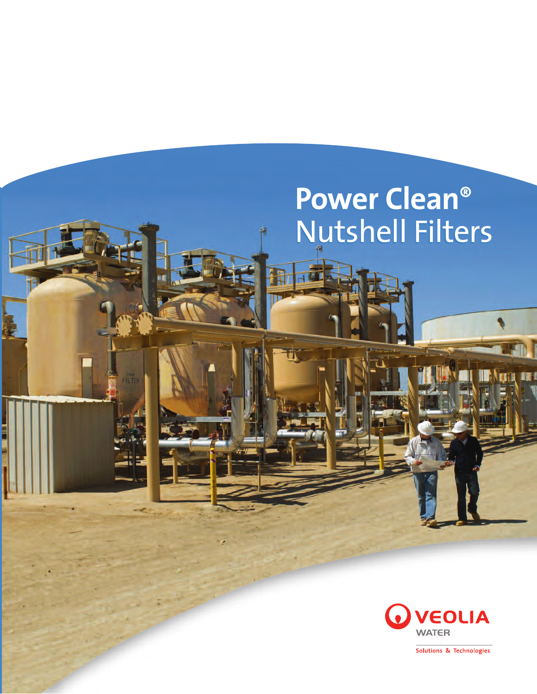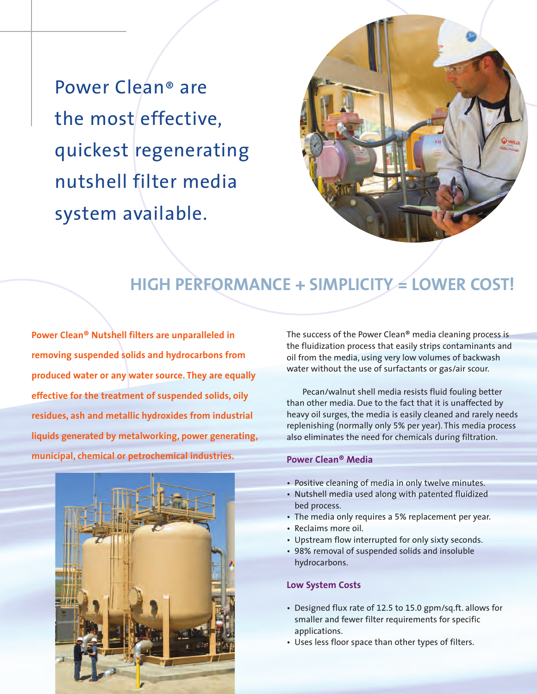Power Clean® are the most effective, quickest regenerating nutshell filter media system available.



# **HIGH PERFORMANCE + SIMPLICITY**  $\leq$  **LOWER COST!**

**Power Clean® Nutshell filters are unparalleled in removing suspended solids and hydrocarbons from produced water or any water source. They are equally effective for the treatment of suspended solids, oily residues, ash and metallic hydroxides from industrial liquids generated by metalworking, power generating, municipal, chemical or petrochemical industries.** 



The success of the Power Clean® media cleaning process is the fluidization process that easily strips contaminants and oil from the media, using very low volumes of backwash water without the use of surfactants or gas/air scour.

Pecan/walnut shell media resists fluid fouling better than other media. Due to the fact that it is unaffected by heavy oil surges, the media is easily cleaned and rarely needs replenishing (normally only 5% per year). This media process also eliminates the need for chemicals during filtration.

### **Power Clean® Media**

- Positive cleaning of media in only twelve minutes.
- Nutshell media used along with patented fluidized bed process.
- The media only requires a 5% replacement per year.
- Reclaims more oil.
- Upstream flow interrupted for only sixty seconds.
- 98% removal of suspended solids and insoluble hydrocarbons.

#### **Low System Costs**

- Designed flux rate of 12.5 to 15.0 gpm/sq.ft. allows for smaller and fewer filter requirements for specific applications.
- Uses less floor space than other types of filters.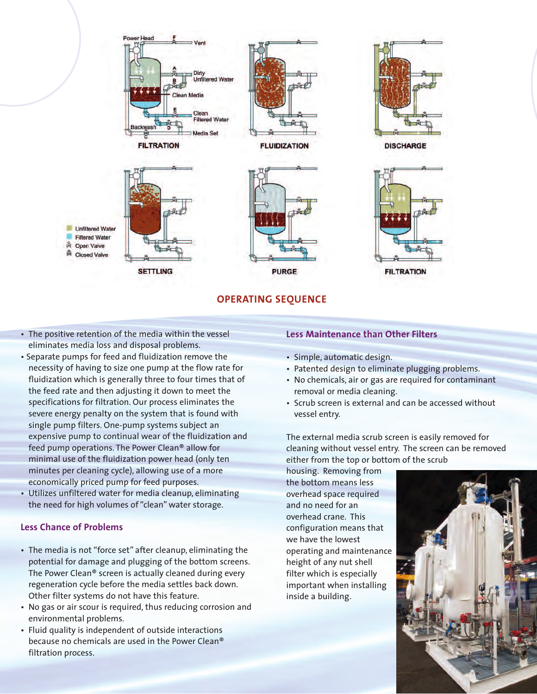

#### **OPERATING SEQUENCE**

- The positive retention of the media within the vessel eliminates media loss and disposal problems.
- Separate pumps for feed and fluidization remove the necessity of having to size one pump at the flow rate for fluidization which is generally three to four times that of the feed rate and then adjusting it down to meet the specifications for filtration. Our process eliminates the severe energy penalty on the system that is found with single pump filters. One-pump systems subject an expensive pump to continual wear of the fluidization and feed pump operations. The Power Clean® allow for minimal use of the fluidization power head (only ten minutes per cleaning cycle), allowing use of a more economically priced pump for feed purposes.
- Utilizes unfiltered water for media cleanup, eliminating the need for high volumes of "clean" water storage.

## **Less Chance of Problems**

- The media is not "force set" after cleanup, eliminating the potential for damage and plugging of the bottom screens. The Power Clean® screen is actually cleaned during every regeneration cycle before the media settles back down. Other filter systems do not have this feature.
- No gas or air scour is required, thus reducing corrosion and environmental problems.
- Fluid quality is independent of outside interactions because no chemicals are used in the Power Clean® filtration process.

#### **Less Maintenance than Other Filters**

- Simple, automatic design.
- Patented design to eliminate plugging problems.
- No chemicals, air or gas are required for contaminant removal or media cleaning.
- Scrub screen is external and can be accessed without vessel entry.

The external media scrub screen is easily removed for cleaning without vessel entry. The screen can be removed either from the top or bottom of the scrub

housing. Removing from the bottom means less overhead space required and no need for an overhead crane. This configuration means that we have the lowest operating and maintenance height of any nut shell filter which is especially important when installing inside a building.

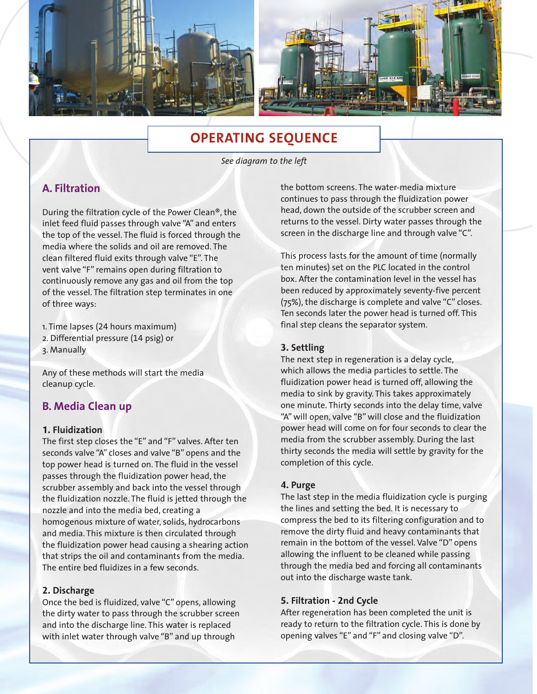

# **OPERATING SEQUENCE**

*See diagram to the left*

# **A. Filtration**

During the filtration cycle of the Power Clean®, the inlet feed fluid passes through valve "A" and enters the top of the vessel. The fluid is forced through the media where the solids and oil are removed. The clean filtered fluid exits through valve "E". The vent valve "F" remains open during filtration to continuously remove any gas and oil from the top of the vessel. The filtration step terminates in one of three ways:

1. Time lapses (24 hours maximum) 2. Differential pressure (14 psig) or 3. Manually

Any of these methods will start the media cleanup cycle.

## **B. Media Clean up**

#### **1. Fluidization**

The first step closes the "E" and "F" valves. After ten seconds valve "A" closes and valve "B" opens and the top power head is turned on. The fluid in the vessel passes through the fluidization power head, the scrubber assembly and back into the vessel through the fluidization nozzle. The fluid is jetted through the nozzle and into the media bed, creating a homogenous mixture of water, solids, hydrocarbons and media. This mixture is then circulated through the fluidization power head causing a shearing action that strips the oil and contaminants from the media. The entire bed fluidizes in a few seconds.

#### **2. Discharge**

Once the bed is fluidized, valve "C" opens, allowing the dirty water to pass through the scrubber screen and into the discharge line. This water is replaced with inlet water through valve "B" and up through

the bottom screens. The water-media mixture continues to pass through the fluidization power head, down the outside of the scrubber screen and returns to the vessel. Dirty water passes through the screen in the discharge line and through valve "C".

This process lasts for the amount of time (normally ten minutes) set on the PLC located in the control box. After the contamination level in the vessel has been reduced by approximately seventy-five percent (75%), the discharge is complete and valve "C" closes. Ten seconds later the power head is turned off. This final step cleans the separator system.

#### **3. Settling**

The next step in regeneration is a delay cycle, which allows the media particles to settle. The fluidization power head is turned off, allowing the media to sink by gravity. This takes approximately one minute. Thirty seconds into the delay time, valve "A" will open, valve "B" will close and the fluidization power head will come on for four seconds to clear the media from the scrubber assembly. During the last thirty seconds the media will settle by gravity for the completion of this cycle.

#### **4. Purge**

The last step in the media fluidization cycle is purging the lines and setting the bed. It is necessary to compress the bed to its filtering configuration and to remove the dirty fluid and heavy contaminants that remain in the bottom of the vessel. Valve "D" opens allowing the influent to be cleaned while passing through the media bed and forcing all contaminants out into the discharge waste tank.

#### **5. Filtration - 2nd Cycle**

After regeneration has been completed the unit is ready to return to the filtration cycle. This is done by opening valves "E" and "F" and closing valve "D".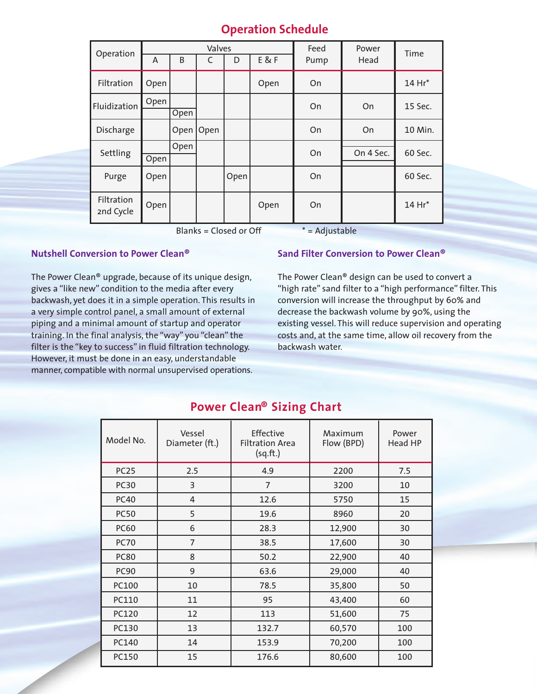# **Operation Schedule**

| Operation               | Valves<br>E&F<br>B |      |      |      |      | Feed | Power     | Time    |
|-------------------------|--------------------|------|------|------|------|------|-----------|---------|
|                         | A                  |      | C    | D    |      | Pump | Head      |         |
| Filtration              | Open               |      |      |      | Open | On   |           | 14 Hr*  |
| Fluidization            | Open               |      |      |      |      | On   | On        | 15 Sec. |
|                         |                    | Open |      |      |      |      |           |         |
| Discharge               |                    | Open | Open |      |      | On   | On        | 10 Min. |
| Settling                |                    | Open |      |      |      | On   | On 4 Sec. | 60 Sec. |
|                         | Open               |      |      |      |      |      |           |         |
| Purge                   | Open               |      |      | Open |      | On   |           | 60 Sec. |
| Filtration<br>2nd Cycle | Open               |      |      |      | Open | On   |           | 14 Hr*  |

Blanks = Closed or Off  $* =$  Adjustable

#### **Nutshell Conversion to Power Clean®**

The Power Clean® upgrade, because of its unique design, gives a "like new" condition to the media after every backwash, yet does it in a simple operation. This results in a very simple control panel, a small amount of external piping and a minimal amount of startup and operator training. In the final analysis, the "way" you "clean" the filter is the "key to success" in fluid filtration technology. However, it must be done in an easy, understandable manner, compatible with normal unsupervised operations.

### **Sand Filter Conversion to Power Clean®**

The Power Clean® design can be used to convert a "high rate" sand filter to a "high performance" filter. This conversion will increase the throughput by 60% and decrease the backwash volume by 90%, using the existing vessel. This will reduce supervision and operating costs and, at the same time, allow oil recovery from the backwash water.

| Model No.   | Vessel<br>Diameter (ft.) | Effective<br><b>Filtration Area</b><br>(sq.fr.) | Maximum<br>Flow (BPD) | Power<br>Head HP |
|-------------|--------------------------|-------------------------------------------------|-----------------------|------------------|
| <b>PC25</b> | 2.5                      | 4.9                                             | 2200                  | 7.5              |
| <b>PC30</b> | 3                        | $\overline{7}$                                  | 3200                  | 10               |
| <b>PC40</b> | $\overline{4}$           | 12.6                                            | 5750                  | 15               |
| <b>PC50</b> | 5                        | 19.6                                            | 8960                  | 20               |
| <b>PC60</b> | 6                        | 28.3                                            | 12,900                | 30               |
| <b>PC70</b> | $\overline{7}$           | 38.5                                            | 17,600                | 30               |
| <b>PC80</b> | 8                        | 50.2                                            | 22,900                | 40               |
| <b>PC90</b> | 9                        | 63.6                                            | 29,000                | 40               |
| PC100       | 10                       | 78.5                                            | 35,800                | 50               |
| PC110       | 11                       | 95                                              | 43,400                | 60               |
| PC120       | 12                       | 113                                             | 51,600                | 75               |
| PC130       | 13                       | 132.7                                           | 60,570                | 100              |
| PC140       | 14                       | 153.9                                           | 70,200                | 100              |
| PC150       | 15                       | 176.6                                           | 80,600                | 100              |

# **Power Clean® Sizing Chart**